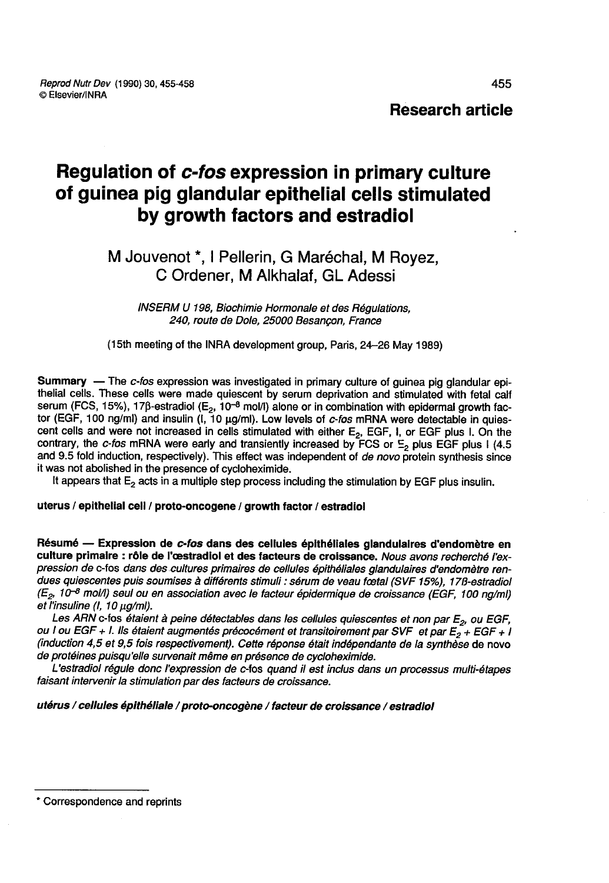Research article

# Regulation of c-fos expression in primary culture of guinea pig glandular epithelial cells stimulated by growth factors and estradiol

# M Jouvenot \*, I Pellerin, G Maréchal, M Rovez, C Ordener, M Alkhalaf, GL Adessi

INSERM U 198, Biochimie Hormonale et des Régulations, 240, route de Dole, 25000 Besançon, France

(l5th meeting of the INRA development group, Paris, 24-26 May 1989)

**Summary** — The *c-fos* expression was investigated in primary culture of guinea pig glandular epithelial cells. These cells were made quiescent by serum deprivation and stimulated with fetal calf serum (FCS, 15%), 17β-es contrary, the c-fos mRNA were early and transiently increased by FCS or  $E_2$  plus EGF plus 1 (4.5 and 9.5 fold induction, respectively). This effect was independent of de novo protein synthesis since it was not abolished in the presence of cycloheximide.

It appears that  $E<sub>2</sub>$  acts in a multiple step process including the stimulation by EGF plus insulin.

#### uterus / epithelial cell / proto-oncogene / growth factor / estradiol

Résumé ― Expression de c-fos dans des cellules épithéliales glandulaires d'endomètre en culture primaire : rôle de l'oestradiol et des facteurs de croissance. Nous avons recherché l'expression de c-fos dans des cultures primaires de cellules épithéliales glandulaires d'endomètre rendues quiescentes puis soumises à différents stimuli : sérum de veau foetal (SVF 15%), 17B-estradiol (E<sub>2</sub>, 10<sup>-8</sup> mol/l) seul ou en association avec le facteur épidermique de croissance (EGF, 100 ng/ml)<br>et l'insuline (I, 10 µg/ml).<br>Les ARN c-fos étaient à peine détectables dans les cellules quiescentes et non par E<sub>2</sub>,

ou I ou EGF + I. Ils étaient augmentés précocément et transitoirement par SVF et par  $E_2 + EGF + I$ (induction 4,5 et 9,5 fois respecüvement). Cette réponse était indépendante de la synthèse de novo de protéines puisqu'elle survenait même en présence de cycloheximide.

L'estradiol régule donc l'expression de c-fos quand il est inclus dans un processus multi-étapes faisant intervenir la stimulation par des facteurs de croissance.

#### utérus / cellules épithéliale l proto-oncogène / facteur de croissance / estradiol

\* Correspondence and reprints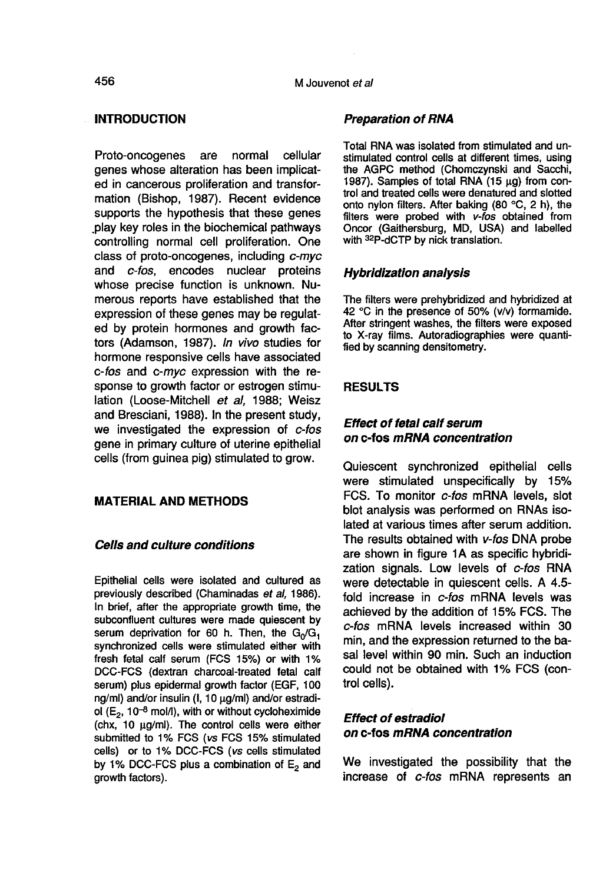## INTRODUCTION

Proto-oncogenes are normal cellular genes whose alteration has been implicated in cancerous proliferation and transformation (Bishop, 1987). Recent evidence supports the hypothesis that these genes play key roles in the biochemical pathways controlling normal cell proliferation. One class of proto-oncogenes, including c-myc and c-fos, encodes nuclear proteins whose precise function is unknown. Numerous reports have established that the expression of these genes may be regulated by protein hormones and growth factors (Adamson, 1987). In vivo studies for hormone responsive cells have associated c-fos and c-myc expression with the response to growth factor or estrogen stimulation (Loose-Mitchell et al, 1988; Weisz and Bresciani, 1988). In the present study, we investigated the expression of c-fos gene in primary culture of uterine epithelial cells (from guinea pig) stimulated to grow.

# MATERIAL AND METHODS

#### Cells and culture conditions

Epithelial cells were isolated and cultured as previously described (Chaminadas et al, 1986). In brief, after the appropriate growth time, the subconfluent cultures were made quiescent by serum deprivation for 60 h. Then, the  $G_0/G_1$ synchronized cells were stimulated either with fresh fetal calf serum (FCS 15%) or with 1% DCC-FCS (dextran charcoal-treated fetal calf serum) plus epidermal growth factor (EGF, 100 DCC-FCS (dextran charcoal-treated fetal calf<br>serum) plus epidermal growth factor (EGF, 100<br>ng/ml) and/or insulin (1, 10 µg/ml) and/or estradi-<br>ol (E<sub>o</sub>, 10<sup>-8</sup> mol/l) with or without cycloheximide ol ( $E_2$ , 10<sup>-8</sup> mol/l), with or without cycloheximide  $(chx, 10 µq/ml)$ . The control cells were either submitted to 1% FCS (vs FCS 15% stimulated cells) or to 1% DCC-FCS (vs cells stimulated by 1% DCC-FCS plus a combination of  $E<sub>2</sub>$  and growth factors).

#### Preparation of RNA

Total RNA was isolated from stimulated and unstimulated control cells at different times, using the AGPC method (Chomczynski and Sacchi, 1987). Samples of total RNA  $(15 \mu g)$  from control and treated cells were denatured and slotted onto nylon filters. After baking (80 °C, 2 h), the filters were probed with v-fos obtained from Oncor (Gaithersburg, MD, USA) and labelled with <sup>32</sup>P-dCTP by nick translation.

#### Hybridization analysis

The filters were prehybridized and hybridized at 42 °C in the presence of 50% (v/v) formamide. After stringent washes, the filters were exposed to X-ray films. Autoradiographies were quantified by scanning densitometry.

### RESULTS

# Effect of fetal calf serum on c-fos mRNA concentration

Quiescent synchronized epithelial cells were stimulated unspecifically by 15% FCS. To monitor c-fos mRNA levels, slot blot analysis was performed on RNAs isolated at various times after serum addition. The results obtained with v-fos DNA probe are shown in figure 1A as specific hybridization signals. Low levels of c-fos RNA were detectable in quiescent cells. A 4.5 fold increase in c-fos mRNA levels was achieved by the addition of 15% FCS. The c-fos mRNA levels increased within 30 min, and the expression returned to the basal level within 90 min. Such an induction could not be obtained with 1% FCS (control cells).

# Effect of estradiol on c-fos mRNA concentration

We investigated the possibility that the increase of c-fos mRNA represents an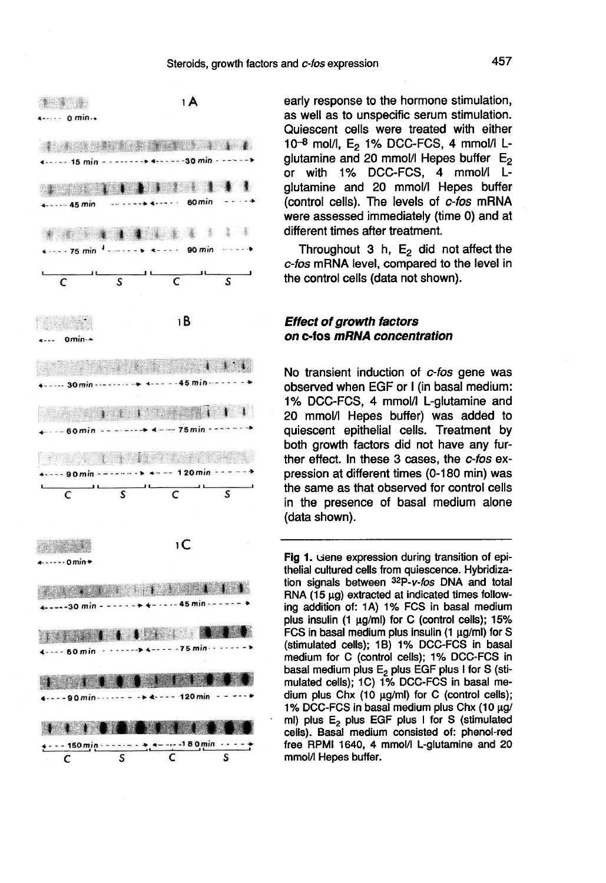

early response to the hormone stimulation, as well as to unspecific serum stimulation. Quiescent cells were treated with either  $10^{-8}$  mol/l,  $E_2$  1% DCC-FCS, 4 mmol/l L-<br>glutamine and 20 mmol/l Hepes buffer  $E_2$ or with 1% DCC-FCS, 4 mmol/I Lglutamine and 20 mmol/I Hepes buffer (control cells). The levels of c-fos mRNA were assessed immediately (time 0) and at different times after treatment.

Throughout 3 h,  $E_2$  did not affect the c-fos mRNA level, compared to the level in the control cells (data not shown).

#### Effect of growth factors on c-fos mRNA concentration

No transient induction of c-fos gene was observed when EGF or I (in basal medium: 1% DCC-FCS, 4 mmol/I L-glutamine and 20 mmol/l Hepes buffer) was added to quiescent epithelial cells. Treatment by both growth factors did not have any further effect. In these 3 cases, the c-fos expression at different times (0-180 min) was the same as that observed for control cells in the presence of basal medium alone (data shown).

Fig 1. Gene expression during transition of epithelial cultured cells from quiescence. Hybridization signals between 32P-v-fos DNA and total RNA  $(15 \mu g)$  extracted at indicated times following addition of: 1A) 1% FCS in basal medium plus insulin (1 µg/ml) for C (control cells); 15% FCS in basal medium plus insulin (1 µg/ml) for S (stimulated cells); 1B) 1% DCC-FCS in basal medium for C (control cells); 1% DCC-FCS in basal medium plus E<sub>2</sub> plus EGF plus I for S (stimulated cells); 1C) 1% DCC-FCS in basal medium plus Chx (10 µg/ml) for C (control cells); 1% DCC-FCS in basal medium plus Chx (10 µg/ ml) plus E<sub>2</sub> plus EGF plus I for S (stimulated cells). Basal medium consisted of: phenol-red free RPMI 1640, 4 mmol/l L-glutamine and 20 mmol/l Hepes buffer.